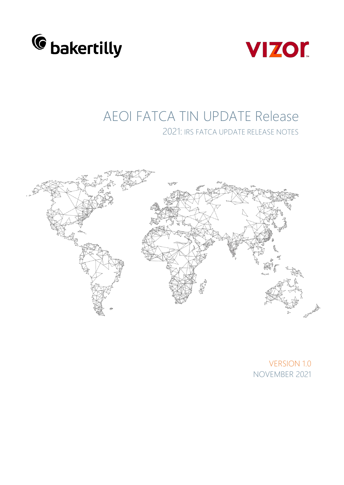



## AEOI FATCA TIN UPDATE Release 2021: IRS FATCA UPDATE RELEASE NOTES



VERSION 1.0 NOVEMBER 2021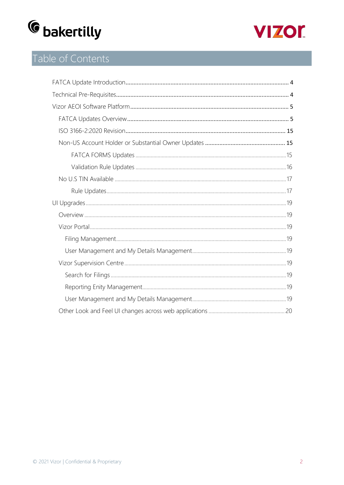



## Table of Contents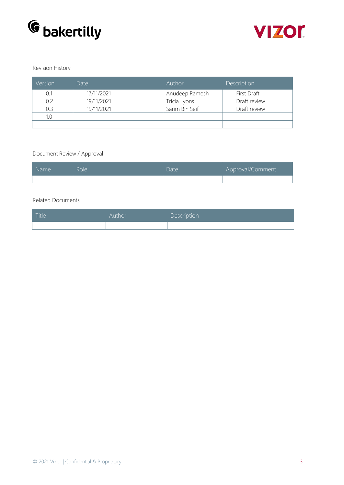



#### Revision History

| Version | Date       | Author         | Description  |
|---------|------------|----------------|--------------|
| 0.1     | 17/11/2021 | Anudeep Ramesh | First Draft  |
| 0.2     | 19/11/2021 | Tricia Lyons   | Draft review |
| 0.3     | 19/11/2021 | Sarim Bin Saif | Draft review |
| 1.0     |            |                |              |
|         |            |                |              |

#### Document Review / Approval

| Name | Role. | Date | Approval/Comment |
|------|-------|------|------------------|
|      |       |      |                  |

#### Related Documents

| Title <sup>1</sup> | Author | Description |
|--------------------|--------|-------------|
|                    |        |             |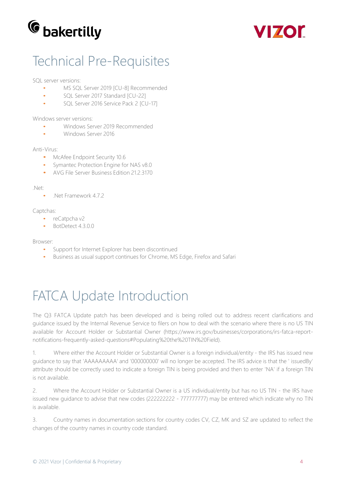



# Technical Pre-Requisites

SQL server versions:

- MS SQL Server 2019 [CU-8] Recommended
- SQL Server 2017 Standard [CU-22]
- SQL Server 2016 Service Pack 2 [CU-17]

Windows server versions:

- Windows Server 2019 Recommended
- Windows Server 2016

#### Anti-Virus:

- McAfee Endpoint Security 10.6
- Symantec Protection Engine for NAS v8.0
- AVG File Server Business Edition 21.2.3170

#### .Net:

• Net Framework 4.7.2

#### Captchas:

- reCatpcha v2
- BotDetect 4.3.0.0

#### Browser:

- Support for Internet Explorer has been discontinued
- Business as usual support continues for Chrome, MS Edge, Firefox and Safari

# FATCA Update Introduction

The Q3 FATCA Update patch has been developed and is being rolled out to address recent clarifications and guidance issued by the Internal Revenue Service to filers on how to deal with the scenario where there is no US TIN available for Account Holder or Substantial Owner (https:/[/www.irs.gov/businesses/corporations/irs-fatca-report](http://www.irs.gov/businesses/corporations/irs-fatca-report-)notifications-frequently-asked-questions#Populating%20the%20TIN%20Field).

1. Where either the Account Holder or Substantial Owner is a foreign individual/entity - the IRS has issued new guidance to say that 'AAAAAAAAA' and '000000000' will no longer be accepted. The IRS advice is that the ' issuedBy' attribute should be correctly used to indicate a foreign TIN is being provided and then to enter 'NA' if a foreign TIN is not available.

2. Where the Account Holder or Substantial Owner is a US individual/entity but has no US TIN - the IRS have issued new guidance to advise that new codes (222222222 - 777777777) may be entered which indicate why no TIN is available.

3. Country names in documentation sections for country codes CV, CZ, MK and SZ are updated to reflect the changes of the country names in country code standard.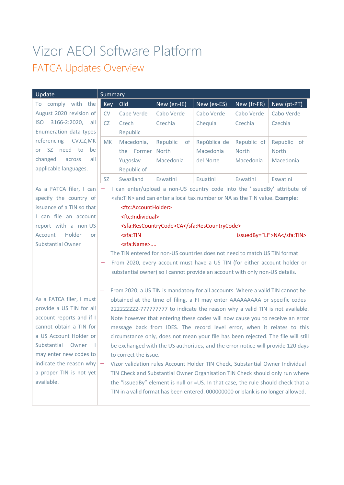# Vizor AEOI Software Platform FATCA Updates Overview

| Update                                              | Summary                  |                                                                                    |                                                                                       |              |             |                                                                                   |
|-----------------------------------------------------|--------------------------|------------------------------------------------------------------------------------|---------------------------------------------------------------------------------------|--------------|-------------|-----------------------------------------------------------------------------------|
| comply with<br>the<br>To                            | <b>Key</b>               | Old                                                                                | New (en-IE)                                                                           | New (es-ES)  | New (fr-FR) | New (pt-PT)                                                                       |
| August 2020 revision of                             | CV                       | Cape Verde                                                                         | Cabo Verde                                                                            | Cabo Verde   | Cabo Verde  | Cabo Verde                                                                        |
| <b>ISO</b><br>3166-2:2020,<br>all                   | CZ                       | Czech                                                                              | Czechia                                                                               | Chequia      | Czechia     | Czechia                                                                           |
| Enumeration data types                              |                          | Republic                                                                           |                                                                                       |              |             |                                                                                   |
| referencing<br>CV,CZ,MK                             | <b>MK</b>                | Macedonia,                                                                         | Republic<br>0f                                                                        | República de | Republic of | Republic of                                                                       |
| or SZ need to<br>be                                 |                          | the Former                                                                         | <b>North</b>                                                                          | Macedonia    | North       | North                                                                             |
| changed<br>all<br>across                            |                          | Yugoslav                                                                           | Macedonia                                                                             | del Norte    | Macedonia   | Macedonia                                                                         |
| applicable languages.                               |                          | Republic of                                                                        |                                                                                       |              |             |                                                                                   |
|                                                     | <b>SZ</b>                | Swaziland                                                                          | Eswatini                                                                              | Esuatini     | Eswatini    | Eswatini                                                                          |
| As a FATCA filer, I can                             |                          |                                                                                    |                                                                                       |              |             | I can enter/upload a non-US country code into the 'issuedBy' attribute of         |
| specify the country of                              |                          |                                                                                    | <sfa:tin> and can enter a local tax number or NA as the TIN value. Example:</sfa:tin> |              |             |                                                                                   |
| issuance of a TIN so that                           |                          | <ftc:accountholder></ftc:accountholder>                                            |                                                                                       |              |             |                                                                                   |
| I can file an account                               |                          | <ftc:individual></ftc:individual>                                                  |                                                                                       |              |             |                                                                                   |
| report with a non-US                                |                          |                                                                                    | <sfa:rescountrycode>CA</sfa:rescountrycode>                                           |              |             |                                                                                   |
| Account<br>Holder<br>or                             |                          | <sfa:tin< td=""><td></td><td></td><td></td><td>issuedBy="LI"&gt;NA</td></sfa:tin<> |                                                                                       |              |             | issuedBy="LI">NA                                                                  |
| <b>Substantial Owner</b>                            |                          | <sfa:name></sfa:name>                                                              |                                                                                       |              |             |                                                                                   |
|                                                     |                          |                                                                                    | The TIN entered for non-US countries does not need to match US TIN format             |              |             |                                                                                   |
|                                                     | $\qquad \qquad -$        |                                                                                    | From 2020, every account must have a US TIN (for either account holder or             |              |             |                                                                                   |
|                                                     |                          |                                                                                    | substantial owner) so I cannot provide an account with only non-US details.           |              |             |                                                                                   |
|                                                     |                          |                                                                                    |                                                                                       |              |             |                                                                                   |
|                                                     | $\qquad \qquad -$        |                                                                                    | From 2020, a US TIN is mandatory for all accounts. Where a valid TIN cannot be        |              |             |                                                                                   |
| As a FATCA filer, I must                            |                          |                                                                                    | obtained at the time of filing, a FI may enter AAAAAAAAA or specific codes            |              |             |                                                                                   |
| provide a US TIN for all                            |                          |                                                                                    |                                                                                       |              |             | 222222222-777777777 to indicate the reason why a valid TIN is not available.      |
| account reports and if I<br>cannot obtain a TIN for |                          |                                                                                    |                                                                                       |              |             | Note however that entering these codes will now cause you to receive an error     |
| a US Account Holder or                              |                          |                                                                                    |                                                                                       |              |             | message back from IDES. The record level error, when it relates to this           |
| Substantial<br>Owner                                |                          |                                                                                    |                                                                                       |              |             | circumstance only, does not mean your file has been rejected. The file will still |
| may enter new codes to                              |                          | to correct the issue.                                                              |                                                                                       |              |             | be exchanged with the US authorities, and the error notice will provide 120 days  |
| indicate the reason why                             | $\overline{\phantom{a}}$ |                                                                                    | Vizor validation rules Account Holder TIN Check, Substantial Owner Individual         |              |             |                                                                                   |
| a proper TIN is not yet                             |                          |                                                                                    |                                                                                       |              |             | TIN Check and Substantial Owner Organisation TIN Check should only run where      |
| available.                                          |                          |                                                                                    |                                                                                       |              |             | the "issuedBy" element is null or =US. In that case, the rule should check that a |
|                                                     |                          |                                                                                    | TIN in a valid format has been entered. 000000000 or blank is no longer allowed.      |              |             |                                                                                   |
|                                                     |                          |                                                                                    |                                                                                       |              |             |                                                                                   |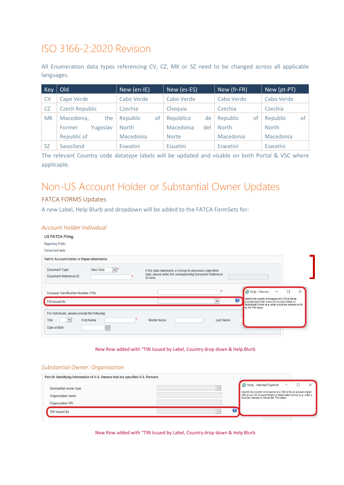### ISO 3166-2:2020 Revision

All Enumeration data types referencing CV, CZ, MK or SZ need to be changed across all applicable languages.

| <b>Key</b> | Old                   | New (en-IE)    | New (es-ES)      | New (fr-FR)    | New (pt-PT)    |
|------------|-----------------------|----------------|------------------|----------------|----------------|
| <b>CV</b>  | Cape Verde            | Cabo Verde     | Cabo Verde       | Cabo Verde     | Cabo Verde     |
| <b>CZ</b>  | <b>Czech Republic</b> | Czechia        | Chequia          | Czechia        | Czechia        |
| <b>MK</b>  | Macedonia,<br>the     | Republic<br>of | República<br>de  | Republic<br>of | of<br>Republic |
|            | Yugoslav<br>Former    | <b>North</b>   | Macedonia<br>del | <b>North</b>   | <b>North</b>   |
|            | Republic of           | Macedonia      | <b>Norte</b>     | Macedonia      | Macedonia      |
| <b>SZ</b>  | Swaziland             | Eswatini       | Esuatini         | Eswatini       | Eswatini       |

The relevant Country code datatype labels will be updated and visable on both Portal & VSC where applicaple.

### Non-US Account Holder or Substantial Owner Updates

#### FATCA FORMS Updates

A new Label, Help Blurb and dropdown will be added to the FATCA FormSets for:

#### *Account Holder Individual*

| <b>US FATCA Filing</b>                                          |                                                                                                                                                                                                     |
|-----------------------------------------------------------------|-----------------------------------------------------------------------------------------------------------------------------------------------------------------------------------------------------|
| <b>Reporting Entity:</b>                                        |                                                                                                                                                                                                     |
| Period end date:                                                |                                                                                                                                                                                                     |
| Part II: Account Holder or Payee Information                    |                                                                                                                                                                                                     |
| $ v ^*$<br>New Data<br>Document Type:<br>Document Reference ID: | If this data represents a change to previously submitted<br>data, please enter the corresponding Document Reference<br>ID here:                                                                     |
| Taxpayer Identification Number (TIN)                            | Help - Interne<br>X<br>п<br>$\equiv$                                                                                                                                                                |
| <b>TIN Issued By</b>                                            | Specify the country of issuance of a TIN to file an<br>$\boldsymbol{Q}$<br>$\checkmark$<br>account report with a non-US Account Holder or<br>Substantial Owner (e.g. enter a local tax number or NA |
| For individuals, please provide the following:                  | as the TIN value).                                                                                                                                                                                  |
| Title<br>$\checkmark$<br>First Name<br>曽                        | Middle Name<br>Last Name                                                                                                                                                                            |
| Date of Birth                                                   |                                                                                                                                                                                                     |

#### New Row added with "TIN Issued by Label, Country drop down & Help Blurb

#### *Substantial Owner: Organisation*

| Part III: Identifying Information of U.S. Owners that are specified U.S. Persons |              |                                                                                                                                                                                                                                     |
|----------------------------------------------------------------------------------|--------------|-------------------------------------------------------------------------------------------------------------------------------------------------------------------------------------------------------------------------------------|
| Substantial owner type<br>Organisation name<br>Organisation TIN                  | $\checkmark$ | Help - Internet Explorer<br>$\qquad \qquad -$<br>Specify the country of issuance of a TIN to file an account report<br>with a non-US Account Holder or Substantial Owner (e.g. enter a<br>local tax number or NA as the TIN value). |
| <b>TIN Issued By</b>                                                             | $\checkmark$ |                                                                                                                                                                                                                                     |

New Row added with "TIN Issued by Label, Country drop down & Help Blurb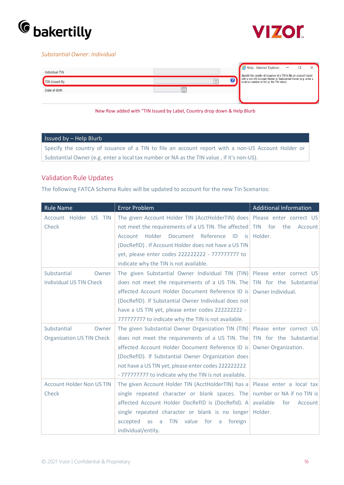



#### *Substantial Owner: Individual*



New Row added with "TIN Issued by Label, Country drop down & Help Blurb

#### Issued by – Help Blurb

Specify the country of issuance of a TIN to file an account report with a non-US Account Holder or Substantial Owner (e.g. enter a local tax number or NA as the TIN value , if it's non-US).

#### Validation Rule Updates

The following FATCA Schema Rules will be updated to account for the new Tin Scenarios:

| <b>Rule Name</b>                 | <b>Error Problem</b>                                                        | <b>Additional Information</b>       |
|----------------------------------|-----------------------------------------------------------------------------|-------------------------------------|
| Account Holder US TIN            | The given Account Holder TIN (AcctHolderTIN) does   Please enter correct US |                                     |
| Check                            | not meet the requirements of a US TIN. The affected                         | <b>TIN</b><br>for<br>the<br>Account |
|                                  | Holder Document Reference ID is<br>Account                                  | Holder.                             |
|                                  | (DocRefID). If Account Holder does not have a US TIN                        |                                     |
|                                  | yet, please enter codes 222222222 - 777777777 to                            |                                     |
|                                  | indicate why the TIN is not available.                                      |                                     |
| Substantial<br>Owner             | The given Substantial Owner Individual TIN (TIN)                            | Please enter correct US             |
| <b>Individual US TIN Check</b>   | does not meet the requirements of a US TIN. The                             | TIN for the Substantial             |
|                                  | affected Account Holder Document Reference ID is                            | Owner Individual.                   |
|                                  | (DocRefID). If Substantial Owner Individual does not                        |                                     |
|                                  | have a US TIN yet, please enter codes 222222222 -                           |                                     |
|                                  | 777777777 to indicate why the TIN is not available.                         |                                     |
| Substantial<br>Owner             | The given Substantial Owner Organization TIN (TIN)                          | Please enter correct US             |
| <b>Organization US TIN Check</b> | does not meet the requirements of a US TIN. The                             | TIN for the Substantial             |
|                                  | affected Account Holder Document Reference ID is                            | Owner Organization.                 |
|                                  | (DocRefID). If Substantial Owner Organization does                          |                                     |
|                                  | not have a US TIN yet, please enter codes 2222222222                        |                                     |
|                                  | - 777777777 to indicate why the TIN is not available.                       |                                     |
| <b>Account Holder Non US TIN</b> | The given Account Holder TIN (AcctHolderTIN) has a                          | Please enter a local tax            |
| Check                            | single repeated character or blank spaces. The                              | number or NA if no TIN is           |
|                                  | affected Account Holder DocRefID is (DocRefId). A                           | available<br>for<br>Account         |
|                                  | single repeated character or blank is no longer                             | Holder.                             |
|                                  | <b>TIN</b><br>value<br>for<br>accepted<br>foreign<br>as<br>a<br>a           |                                     |
|                                  | individual/entity.                                                          |                                     |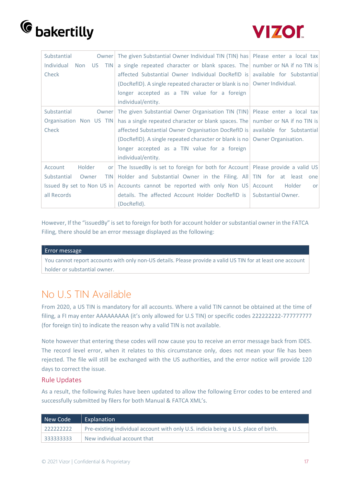



| Substantial<br>Owner                    | The given Substantial Owner Individual TIN (TIN) has Please enter a local tax      |              |
|-----------------------------------------|------------------------------------------------------------------------------------|--------------|
| Individual<br><b>TIN</b><br>Non<br>US - | a single repeated character or blank spaces. The number or NA if no TIN is         |              |
| Check                                   | affected Substantial Owner Individual DocRefID is available for Substantial        |              |
|                                         | (DocRefID). A single repeated character or blank is no Owner Individual.           |              |
|                                         | longer accepted as a TIN value for a foreign                                       |              |
|                                         | individual/entity.                                                                 |              |
| Substantial<br>Owner                    | The given Substantial Owner Organisation TIN (TIN) Please enter a local tax        |              |
| Organisation Non US TIN                 | has a single repeated character or blank spaces. The   number or NA if no TIN is   |              |
| Check                                   | affected Substantial Owner Organisation DocRefID is   available for Substantial    |              |
|                                         | (DocRefID). A single repeated character or blank is no $\vert$ Owner Organisation. |              |
|                                         | longer accepted as a TIN value for a foreign                                       |              |
|                                         | individual/entity.                                                                 |              |
| Holder<br>Account<br><b>or</b>          | The IssuedBy is set to foreign for both for Account Please provide a valid US      |              |
| Substantial<br>Owner<br><b>TIN</b>      | Holder and Substantial Owner in the Filing. All TIN for at least one               |              |
|                                         | Issued By set to Non US in Accounts cannot be reported with only Non US Account    | Holder<br>or |
| all Records                             | details. The affected Account Holder DocRefID is Substantial Owner.                |              |
|                                         | (DocRefId).                                                                        |              |

However, If the "issuedBy" is set to foreign for both for account holder orsubstantial owner in the FATCA Filing, there should be an error message displayed as the following:

#### Error message

You cannot report accounts with only non-US details. Please provide a valid US TIN for at least one account holder or substantial owner.

### No U.S TIN Available

From 2020, a US TIN is mandatory for all accounts. Where a valid TIN cannot be obtained at the time of filing, a FI may enter AAAAAAAAA (it's only allowed for U.S TIN) or specific codes 222222222-7777777777 (for foreign tin) to indicate the reason why a valid TIN is not available.

Note however that entering these codes will now cause you to receive an error message back from IDES. The record level error, when it relates to this circumstance only, does not mean your file has been rejected. The file will still be exchanged with the US authorities, and the error notice will provide 120 days to correct the issue.

#### Rule Updates

As a result, the following Rules have been updated to allow the following Error codes to be entered and successfully submitted by filers for both Manual & FATCA XML's.

| New Code    | Explanation                                                                         |
|-------------|-------------------------------------------------------------------------------------|
| ,,,,,,,,,,, | Pre-existing individual account with only U.S. indicia being a U.S. place of birth. |
| 333333333   | New individual account that                                                         |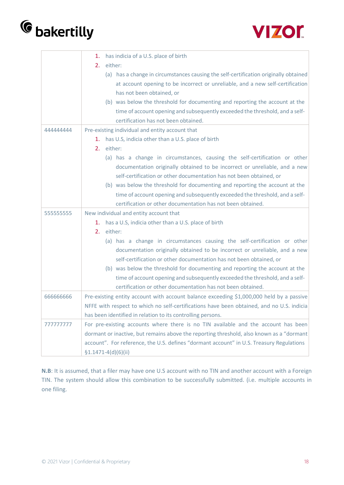



|           | has indicia of a U.S. place of birth<br>1.                                                |
|-----------|-------------------------------------------------------------------------------------------|
|           | 2.<br>either:                                                                             |
|           | (a) has a change in circumstances causing the self-certification originally obtained      |
|           | at account opening to be incorrect or unreliable, and a new self-certification            |
|           | has not been obtained, or                                                                 |
|           | (b) was below the threshold for documenting and reporting the account at the              |
|           | time of account opening and subsequently exceeded the threshold, and a self-              |
|           | certification has not been obtained.                                                      |
| 444444444 | Pre-existing individual and entity account that                                           |
|           | 1. has U.S, indicia other than a U.S. place of birth                                      |
|           | either:<br>2.                                                                             |
|           | (a) has a change in circumstances, causing the self-certification or other                |
|           | documentation originally obtained to be incorrect or unreliable, and a new                |
|           | self-certification or other documentation has not been obtained, or                       |
|           | (b) was below the threshold for documenting and reporting the account at the              |
|           | time of account opening and subsequently exceeded the threshold, and a self-              |
|           | certification or other documentation has not been obtained.                               |
| 555555555 | New individual and entity account that                                                    |
|           | 1. has a U.S, indicia other than a U.S. place of birth                                    |
|           | either:<br>2.                                                                             |
|           | (a) has a change in circumstances causing the self-certification or other                 |
|           | documentation originally obtained to be incorrect or unreliable, and a new                |
|           | self-certification or other documentation has not been obtained, or                       |
|           | (b) was below the threshold for documenting and reporting the account at the              |
|           | time of account opening and subsequently exceeded the threshold, and a self-              |
|           | certification or other documentation has not been obtained.                               |
| 66666666  | Pre-existing entity account with account balance exceeding \$1,000,000 held by a passive  |
|           | NFFE with respect to which no self-certifications have been obtained, and no U.S. indicia |
|           | has been identified in relation to its controlling persons.                               |
| 777777777 | For pre-existing accounts where there is no TIN available and the account has been        |
|           | dormant or inactive, but remains above the reporting threshold, also known as a "dormant  |
|           | account". For reference, the U.S. defines "dormant account" in U.S. Treasury Regulations  |
|           | $$1.1471-4(d)(6)(ii)$                                                                     |

**N.B**: It is assumed, that a filer may have one U.S account with no TIN and another account with a Foreign TIN. The system should allow this combination to be successfully submitted. (i.e. multiple accounts in one filing.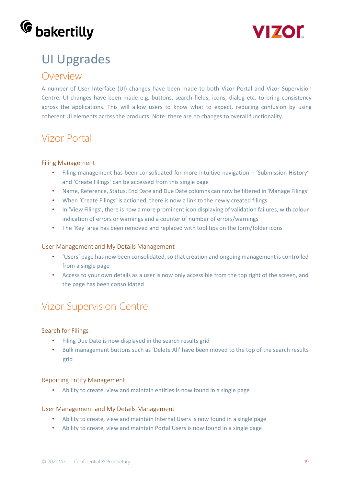



## UI Upgrades

### Overview

A number of User Interface (UI) changes have been made to both Vizor Portal and Vizor Supervision Centre. UI changes have been made e.g. buttons, search fields, icons, dialog etc. to bring consistency across the applications. This will allow users to know what to expect, reducing confusion by using coherent UI elements across the products. Note: there are no changes to overall functionality.

### Vizor Portal

#### Filing Management

- Filing management has been consolidated for more intuitive navigation 'Submission History' and 'Create Filings' can be accessed from this single page
- Name, Reference, Status, End Date and Due Date columns can now be filtered in 'Manage Filings'
- When 'Create Filings' is actioned, there is now a link to the newly created filings
- In 'View Filings', there is now a more prominent icon displaying of validation failures, with colour indication of errors or warnings and a counter of number of errors/warnings
- The 'Key' area has been removed and replaced with tool tips on the form/folder icons

#### User Management and My Details Management

- 'Users' page has now been consolidated, so that creation and ongoing management is controlled from a single page
- Access to your own details as a user is now only accessible from the top right of the screen, and the page has been consolidated

### Vizor Supervision Centre

#### Search for Filings

- Filing Due Date is now displayed in the search results grid
- Bulk management buttons such as 'Delete All' have been moved to the top of the search results grid

#### Reporting Entity Management

• Ability to create, view and maintain entities is now found in a single page

#### User Management and My Details Management

- Ability to create, view and maintain Internal Users is now found in a single page
- Ability to create, view and maintain Portal Users is now found in a single page